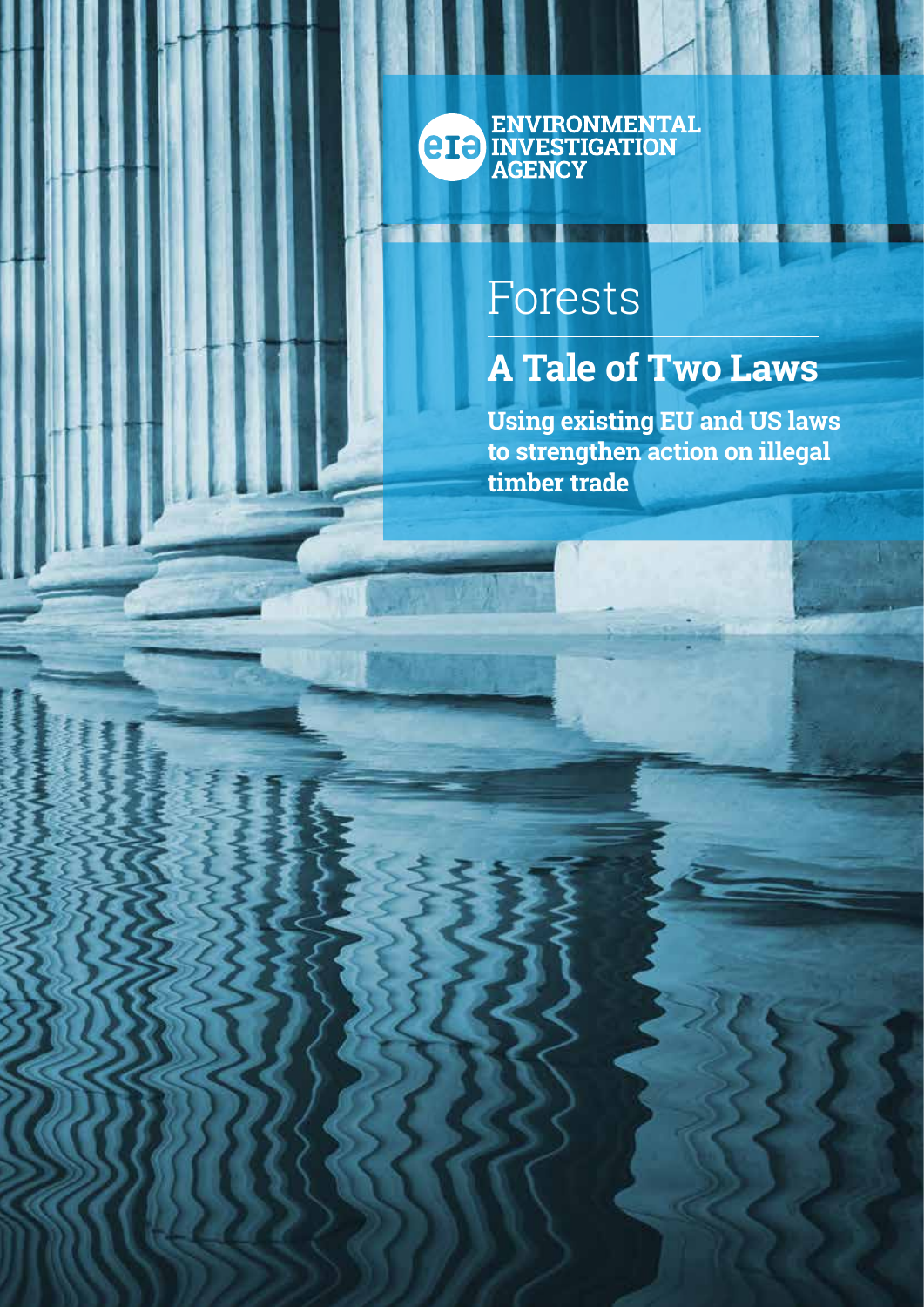ENVIRONMENTAL<br>CIE INVESTIGATION<br>AGENCY

# Forests

## **A Tale of Two Laws**

**Using existing EU and US laws to strengthen action on illegal timber trade**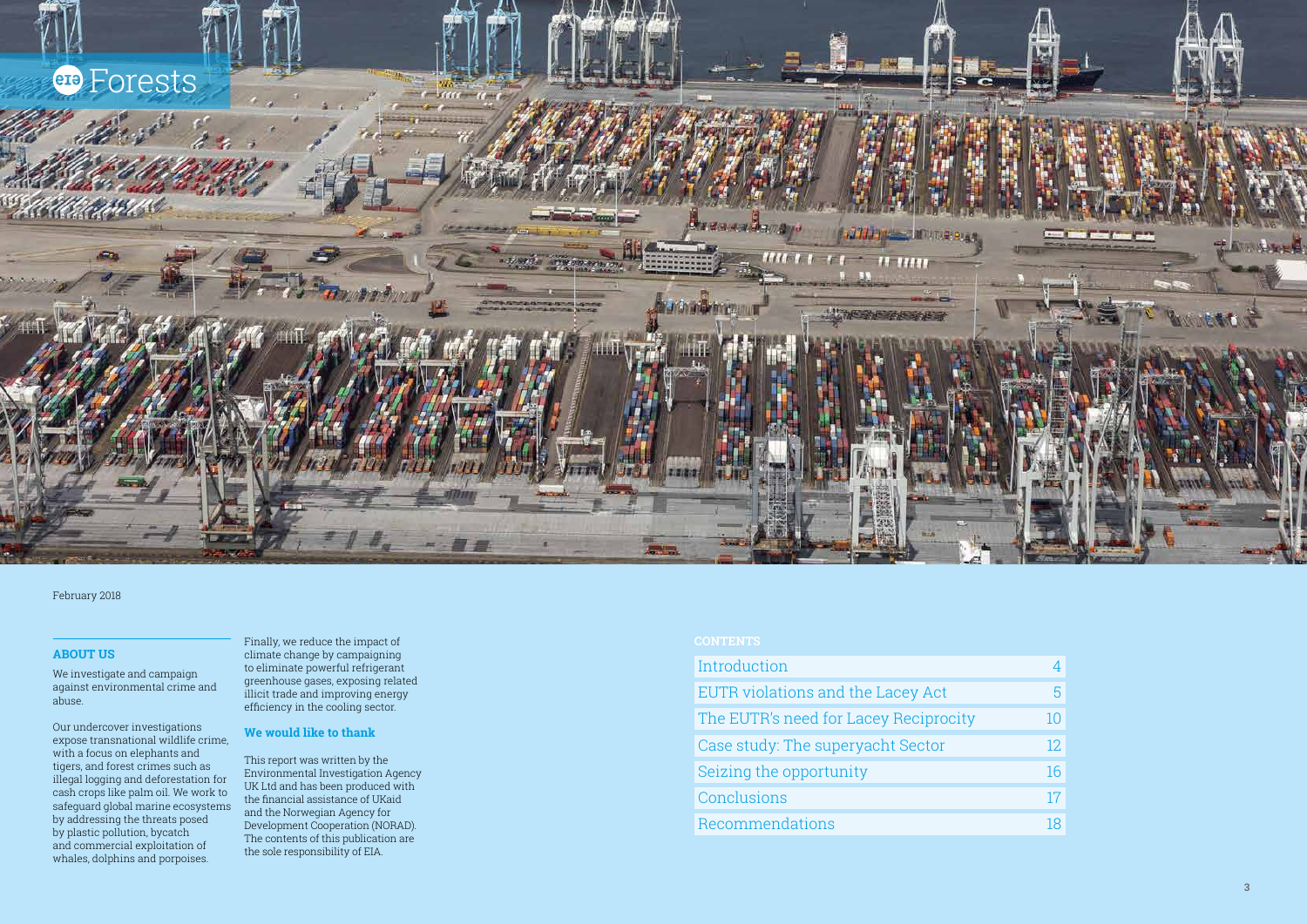

#### **ABOUT US**

We investigate and campaign against environmental crime and abuse.

Our undercover investigations expose transnational wildlife crime, with a focus on elephants and tigers, and forest crimes such as illegal logging and deforestation for cash crops like palm oil. We work to safeguard global marine ecosystems by addressing the threats posed by plastic pollution, bycatch and commercial exploitation of whales, dolphins and porpoises.

Finally, we reduce the impact of climate change by campaigning to eliminate powerful refrigerant greenhouse gases, exposing related illicit trade and improving energy efficiency in the cooling sector.

#### **We would like to thank**

This report was written by the Environmental Investigation Agency UK Ltd and has been produced with the financial assistance of UKaid and the Norwegian Agency for Development Cooperation (NORAD). The contents of this publication are the sole responsibility of EIA.

| Introduction                          |     |
|---------------------------------------|-----|
| EUTR violations and the Lacey Act     |     |
| The EUTR's need for Lacey Reciprocity |     |
| Case study: The superyacht Sector     | 12. |
| Seizing the opportunity               | 16  |
| Conclusions                           | 17  |
| Recommendations                       |     |

| 4  |
|----|
| 5  |
| 10 |
| 12 |
| 16 |
| 17 |
| 18 |

#### February 2018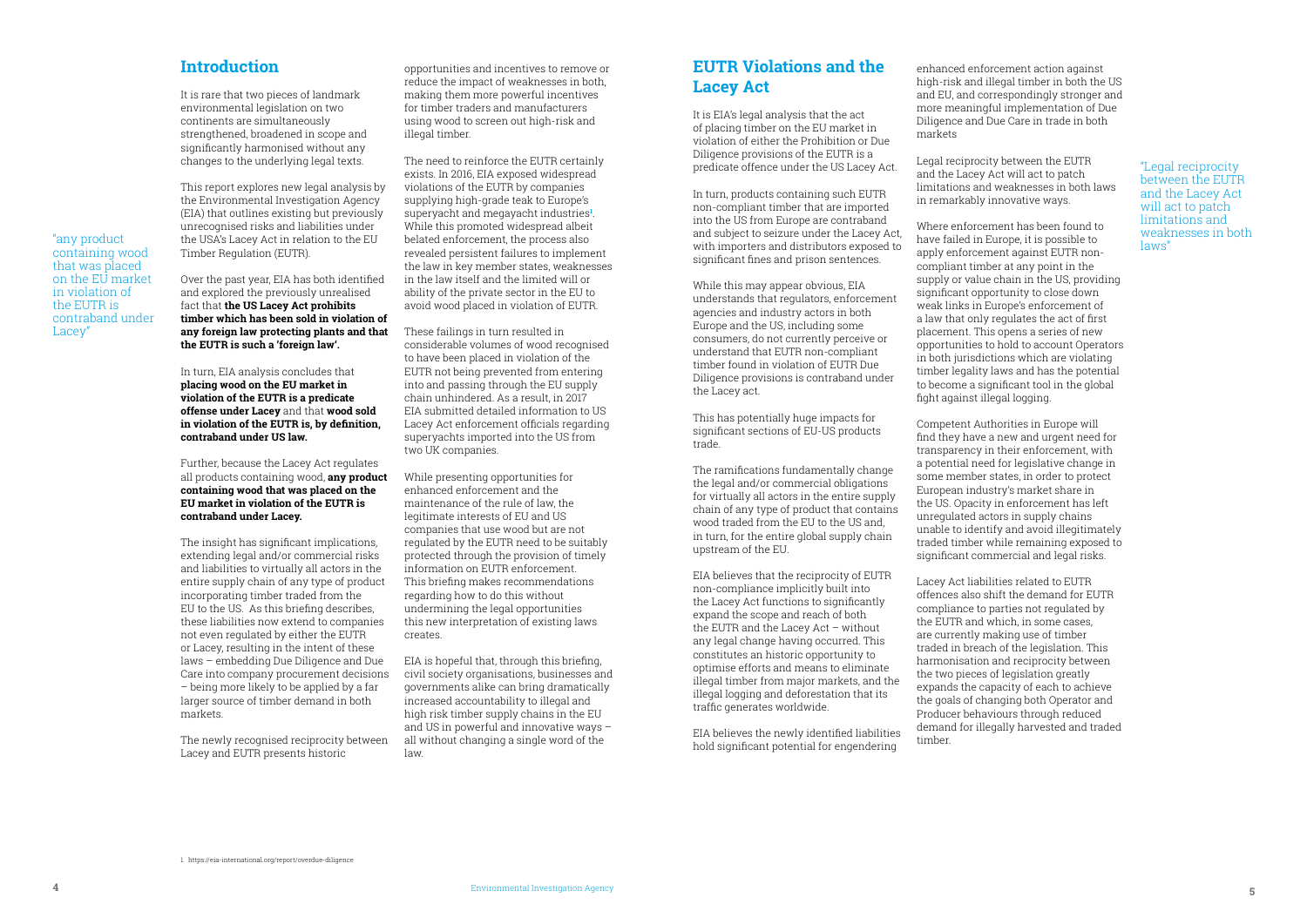### **EUTR Violations and the Lacey Act**

It is EIA's legal analysis that the act of placing timber on the EU market in violation of either the Prohibition or Due Diligence provisions of the EUTR is a predicate offence under the US Lacey Act.

In turn, products containing such EUTR non-compliant timber that are imported into the US from Europe are contraband and subject to seizure under the Lacey Act, with importers and distributors exposed to significant fines and prison sentences.

While this may appear obvious, EIA understands that regulators, enforcement agencies and industry actors in both Europe and the US, including some consumers, do not currently perceive or understand that EUTR non-compliant timber found in violation of EUTR Due Diligence provisions is contraband under the Lacey act.

This has potentially huge impacts for significant sections of EU-US products trade.

The ramifications fundamentally change the legal and/or commercial obligations for virtually all actors in the entire supply chain of any type of product that contains wood traded from the EU to the US and, in turn, for the entire global supply chain upstream of the EU.

EIA believes that the reciprocity of EUTR non-compliance implicitly built into the Lacey Act functions to significantly expand the scope and reach of both the EUTR and the Lacey Act – without any legal change having occurred. This constitutes an historic opportunity to optimise efforts and means to eliminate illegal timber from major markets, and the illegal logging and deforestation that its traffic generates worldwide.

EIA believes the newly identified liabilities hold significant potential for engendering

enhanced enforcement action against high-risk and illegal timber in both the US and EU, and correspondingly stronger and more meaningful implementation of Due Diligence and Due Care in trade in both markets

Legal reciprocity between the EUTR and the Lacey Act will act to patch limitations and weaknesses in both laws in remarkably innovative ways.

Where enforcement has been found to have failed in Europe, it is possible to apply enforcement against EUTR noncompliant timber at any point in the supply or value chain in the US, providing significant opportunity to close down weak links in Europe's enforcement of a law that only regulates the act of first placement. This opens a series of new opportunities to hold to account Operators in both jurisdictions which are violating timber legality laws and has the potential to become a significant tool in the global fight against illegal logging.

The insight has significant implications. extending legal and/or commercial risks and liabilities to virtually all actors in the entire supply chain of any type of product incorporating timber traded from the EU to the US. As this briefing describes, these liabilities now extend to companies not even regulated by either the EUTR or Lacey, resulting in the intent of these laws – embedding Due Diligence and Due Care into company procurement decisions – being more likely to be applied by a far larger source of timber demand in both markets.

Competent Authorities in Europe will find they have a new and urgent need for transparency in their enforcement, with a potential need for legislative change in some member states, in order to protect European industry's market share in the US. Opacity in enforcement has left unregulated actors in supply chains unable to identify and avoid illegitimately traded timber while remaining exposed to significant commercial and legal risks.

Lacey Act liabilities related to EUTR offences also shift the demand for EUTR compliance to parties not regulated by the EUTR and which, in some cases, are currently making use of timber traded in breach of the legislation. This harmonisation and reciprocity between the two pieces of legislation greatly expands the capacity of each to achieve the goals of changing both Operator and Producer behaviours through reduced demand for illegally harvested and traded timber.

#### **Introduction**

It is rare that two pieces of landmark environmental legislation on two continents are simultaneously strengthened, broadened in scope and significantly harmonised without any changes to the underlying legal texts.

This report explores new legal analysis by the Environmental Investigation Agency (EIA) that outlines existing but previously unrecognised risks and liabilities under the USA's Lacey Act in relation to the EU Timber Regulation (EUTR).

Over the past year, EIA has both identified and explored the previously unrealised fact that **the US Lacey Act prohibits timber which has been sold in violation of any foreign law protecting plants and that the EUTR is such a 'foreign law'.** 

In turn, EIA analysis concludes that **placing wood on the EU market in violation of the EUTR is a predicate offense under Lacey** and that **wood sold in violation of the EUTR is, by definition, contraband under US law.** 

Further, because the Lacey Act regulates all products containing wood, **any product containing wood that was placed on the EU market in violation of the EUTR is contraband under Lacey.** 

The newly recognised reciprocity between Lacey and EUTR presents historic

opportunities and incentives to remove or reduce the impact of weaknesses in both, making them more powerful incentives for timber traders and manufacturers using wood to screen out high-risk and illegal timber.

The need to reinforce the EUTR certainly exists. In 2016, EIA exposed widespread violations of the EUTR by companies supplying high-grade teak to Europe's superyacht and megayacht industries**<sup>1</sup>** . While this promoted widespread albeit belated enforcement, the process also revealed persistent failures to implement the law in key member states, weaknesses in the law itself and the limited will or ability of the private sector in the EU to avoid wood placed in violation of EUTR.

These failings in turn resulted in considerable volumes of wood recognised to have been placed in violation of the EUTR not being prevented from entering into and passing through the EU supply chain unhindered. As a result, in 2017 EIA submitted detailed information to US Lacey Act enforcement officials regarding superyachts imported into the US from two UK companies.

While presenting opportunities for enhanced enforcement and the maintenance of the rule of law, the legitimate interests of EU and US companies that use wood but are not regulated by the EUTR need to be suitably protected through the provision of timely information on EUTR enforcement. This briefing makes recommendations regarding how to do this without undermining the legal opportunities this new interpretation of existing laws creates.

EIA is hopeful that, through this briefing, civil society organisations, businesses and governments alike can bring dramatically increased accountability to illegal and high risk timber supply chains in the EU and US in powerful and innovative ways – all without changing a single word of the law.

"any product containing wood that was placed on the EU market in violation of the EUTR is contraband under

Lacey"

"Legal reciprocity between the EUTR and the Lacey Act will act to patch limitations and weaknesses in both laws"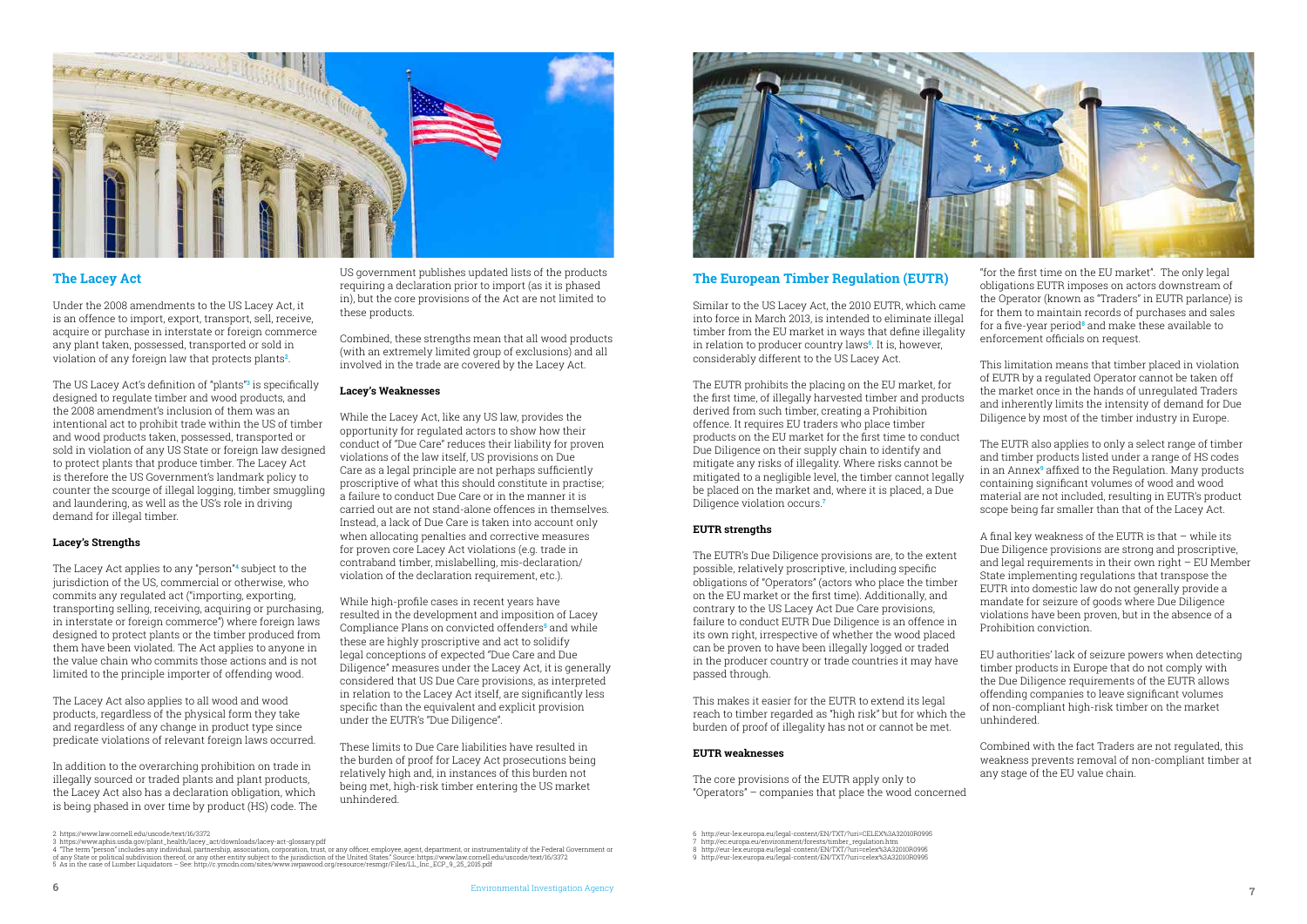



#### **The Lacey Act**

Under the 2008 amendments to the US Lacey Act, it is an offence to import, export, transport, sell, receive, acquire or purchase in interstate or foreign commerce any plant taken, possessed, transported or sold in violation of any foreign law that protects plants**<sup>2</sup>** .

The US Lacey Act's definition of "plants"**<sup>3</sup>** is specifically designed to regulate timber and wood products, and the 2008 amendment's inclusion of them was an intentional act to prohibit trade within the US of timber and wood products taken, possessed, transported or sold in violation of any US State or foreign law designed to protect plants that produce timber. The Lacey Act is therefore the US Government's landmark policy to counter the scourge of illegal logging, timber smuggling and laundering, as well as the US's role in driving demand for illegal timber.

#### **Lacey's Strengths**

The Lacey Act applies to any "person"**<sup>4</sup>** subject to the jurisdiction of the US, commercial or otherwise, who commits any regulated act ("importing, exporting, transporting selling, receiving, acquiring or purchasing, in interstate or foreign commerce") where foreign laws designed to protect plants or the timber produced from them have been violated. The Act applies to anyone in the value chain who commits those actions and is not limited to the principle importer of offending wood.

The Lacey Act also applies to all wood and wood products, regardless of the physical form they take and regardless of any change in product type since predicate violations of relevant foreign laws occurred.

In addition to the overarching prohibition on trade in illegally sourced or traded plants and plant products, the Lacey Act also has a declaration obligation, which is being phased in over time by product (HS) code. The

US government publishes updated lists of the products requiring a declaration prior to import (as it is phased in), but the core provisions of the Act are not limited to these products.

Combined, these strengths mean that all wood products (with an extremely limited group of exclusions) and all involved in the trade are covered by the Lacey Act.

#### **Lacey's Weaknesses**

While the Lacey Act, like any US law, provides the opportunity for regulated actors to show how their conduct of "Due Care" reduces their liability for proven violations of the law itself, US provisions on Due Care as a legal principle are not perhaps sufficiently proscriptive of what this should constitute in practise; a failure to conduct Due Care or in the manner it is carried out are not stand-alone offences in themselves. Instead, a lack of Due Care is taken into account only when allocating penalties and corrective measures for proven core Lacey Act violations (e.g. trade in contraband timber, mislabelling, mis-declaration/ violation of the declaration requirement, etc.).

While high-profile cases in recent years have resulted in the development and imposition of Lacey Compliance Plans on convicted offenders**<sup>5</sup>** and while these are highly proscriptive and act to solidify legal conceptions of expected "Due Care and Due Diligence" measures under the Lacey Act, it is generally considered that US Due Care provisions, as interpreted in relation to the Lacey Act itself, are significantly less specific than the equivalent and explicit provision under the EUTR's "Due Diligence".

These limits to Due Care liabilities have resulted in the burden of proof for Lacey Act prosecutions being relatively high and, in instances of this burden not being met, high-risk timber entering the US market unhindered.

#### **The European Timber Regulation (EUTR)**

Similar to the US Lacey Act, the 2010 EUTR, which came into force in March 2013, is intended to eliminate illegal timber from the EU market in ways that define illegality in relation to producer country laws**<sup>6</sup>** . It is, however, considerably different to the US Lacey Act.

The EUTR prohibits the placing on the EU market, for the first time, of illegally harvested timber and products derived from such timber, creating a Prohibition offence. It requires EU traders who place timber products on the EU market for the first time to conduct Due Diligence on their supply chain to identify and mitigate any risks of illegality. Where risks cannot be mitigated to a negligible level, the timber cannot legally be placed on the market and, where it is placed, a Due Diligence violation occurs.**<sup>7</sup>**

#### **EUTR strengths**

The EUTR's Due Diligence provisions are, to the extent possible, relatively proscriptive, including specific obligations of "Operators" (actors who place the timber on the EU market or the first time). Additionally, and contrary to the US Lacey Act Due Care provisions, failure to conduct EUTR Due Diligence is an offence in its own right, irrespective of whether the wood placed can be proven to have been illegally logged or traded in the producer country or trade countries it may have passed through.

This makes it easier for the EUTR to extend its legal reach to timber regarded as "high risk" but for which the burden of proof of illegality has not or cannot be met.

#### **EUTR weaknesses**

The core provisions of the EUTR apply only to "Operators" – companies that place the wood concerned

"for the first time on the EU market". The only legal obligations EUTR imposes on actors downstream of the Operator (known as "Traders" in EUTR parlance) is for them to maintain records of purchases and sales for a five-year period**<sup>8</sup>** and make these available to enforcement officials on request.

This limitation means that timber placed in violation of EUTR by a regulated Operator cannot be taken off the market once in the hands of unregulated Traders and inherently limits the intensity of demand for Due Diligence by most of the timber industry in Europe.

The EUTR also applies to only a select range of timber and timber products listed under a range of HS codes in an Annex**<sup>9</sup>** affixed to the Regulation. Many products containing significant volumes of wood and wood material are not included, resulting in EUTR's product scope being far smaller than that of the Lacey Act.

A final key weakness of the EUTR is that – while its Due Diligence provisions are strong and proscriptive, and legal requirements in their own right – EU Member State implementing regulations that transpose the EUTR into domestic law do not generally provide a mandate for seizure of goods where Due Diligence violations have been proven, but in the absence of a Prohibition conviction.

EU authorities' lack of seizure powers when detecting timber products in Europe that do not comply with the Due Diligence requirements of the EUTR allows offending companies to leave significant volumes of non-compliant high-risk timber on the market unhindered.

Combined with the fact Traders are not regulated, this weakness prevents removal of non-compliant timber at any stage of the EU value chain.

2 https://www.law.cornell.edu/uscode/text/16/3372

3 https://www.aphis.usda.gov/plant\_health/lacey\_act/downloads/lacey-act-glossary.pdf

<sup>7</sup> http://ec.europa.eu/environment/forests/timber\_regulation.htm 8 http://eur-lex.europa.eu/legal-content/EN/TXT/?uri=celex%3A32010R0995

<sup>5</sup> As in the case of Lumber Liquidators – See: http://c.ymcdn.com/sites/www.iwpawood.org/resource/resmgr/Files/LL\_Inc\_ECP\_9\_25\_2015.pdf

<sup>6</sup> http://eur-lex.europa.eu/legal-content/EN/TXT/?uri=CELEX%3A32010R0995

<sup>9</sup> http://eur-lex.europa.eu/legal-content/EN/TXT/?uri=celex%3A32010R0995

<sup>4 &</sup>quot;The term "person" includes any individual, partnership, association, corporation, trust, or any officer, employee, agent, department, or instrumentality of the Federal Government or<br>of any State or political subdivisio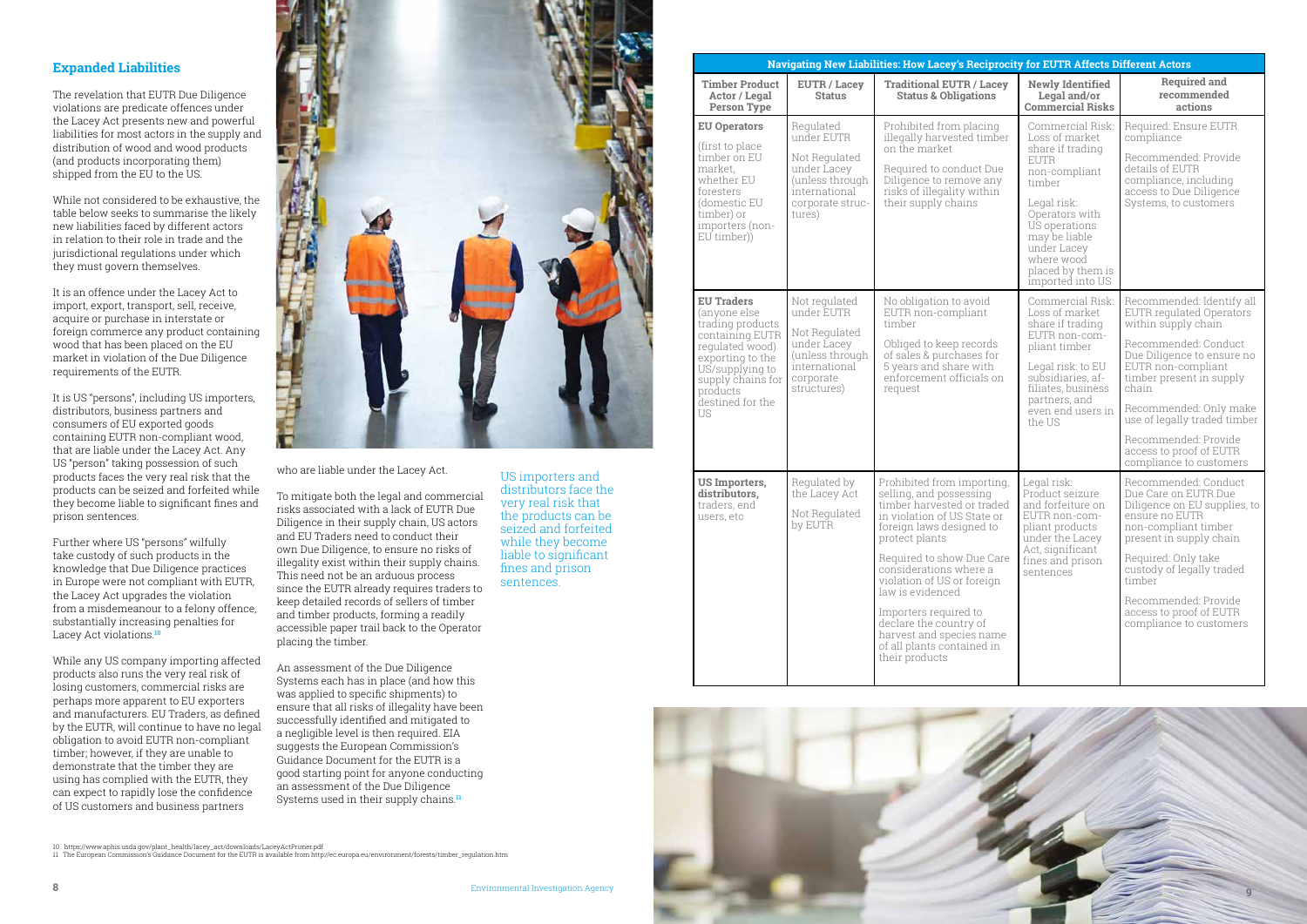#### **Expanded Liabilities**

The revelation that EUTR Due Diligence violations are predicate offences under the Lacey Act presents new and powerful liabilities for most actors in the supply and distribution of wood and wood products (and products incorporating them) shipped from the EU to the US.

While not considered to be exhaustive, the table below seeks to summarise the likely new liabilities faced by different actors in relation to their role in trade and the jurisdictional regulations under which they must govern themselves.

It is an offence under the Lacey Act to import, export, transport, sell, receive, acquire or purchase in interstate or foreign commerce any product containing wood that has been placed on the EU market in violation of the Due Diligence requirements of the EUTR.

It is US "persons", including US importers, distributors, business partners and consumers of EU exported goods containing EUTR non-compliant wood, that are liable under the Lacey Act. Any US "person" taking possession of such products faces the very real risk that the products can be seized and forfeited while they become liable to significant fines and prison sentences.

> An assessment of the Due Diligence Systems each has in place (and how this was applied to specific shipments) to ensure that all risks of illegality have been successfully identified and mitigated to a negligible level is then required. EIA suggests the European Commission's Guidance Document for the EUTR is a good starting point for anyone conducting an assessment of the Due Diligence Systems used in their supply chains.<sup>11</sup>

Further where US "persons" wilfully take custody of such products in the knowledge that Due Diligence practices in Europe were not compliant with EUTR, the Lacey Act upgrades the violation from a misdemeanour to a felony offence, substantially increasing penalties for Lacey Act violations.**<sup>10</sup>**

While any US company importing affected products also runs the very real risk of losing customers, commercial risks are perhaps more apparent to EU exporters and manufacturers. EU Traders, as defined by the EUTR, will continue to have no legal obligation to avoid EUTR non-compliant timber; however, if they are unable to demonstrate that the timber they are using has complied with the EUTR, they can expect to rapidly lose the confidence of US customers and business partners



who are liable under the Lacey Act.

To mitigate both the legal and commercial risks associated with a lack of EUTR Due Diligence in their supply chain, US actors and EU Traders need to conduct their own Due Diligence, to ensure no risks of illegality exist within their supply chains. This need not be an arduous process since the EUTR already requires traders to keep detailed records of sellers of timber and timber products, forming a readily accessible paper trail back to the Operator placing the timber.

| Navigating New Liabilities: How Lacey's Reciprocity for EUTR Affects Different Actors                                                                                                                |                                                                                                                              |                                                                                                                                                                                                                                                                                                                                                                                                          |                                                                                                                                                                                                                                           |                                                                                                                                                                                                                                                                                                                                              |  |
|------------------------------------------------------------------------------------------------------------------------------------------------------------------------------------------------------|------------------------------------------------------------------------------------------------------------------------------|----------------------------------------------------------------------------------------------------------------------------------------------------------------------------------------------------------------------------------------------------------------------------------------------------------------------------------------------------------------------------------------------------------|-------------------------------------------------------------------------------------------------------------------------------------------------------------------------------------------------------------------------------------------|----------------------------------------------------------------------------------------------------------------------------------------------------------------------------------------------------------------------------------------------------------------------------------------------------------------------------------------------|--|
| <b>Timber Product</b><br>Actor / Legal<br><b>Person Type</b>                                                                                                                                         | <b>EUTR / Lacey</b><br><b>Status</b>                                                                                         | <b>Traditional EUTR / Lacey</b><br><b>Status &amp; Obligations</b>                                                                                                                                                                                                                                                                                                                                       | <b>Newly Identified</b><br>Legal and/or<br><b>Commercial Risks</b>                                                                                                                                                                        | <b>Required and</b><br>recommended<br>actions                                                                                                                                                                                                                                                                                                |  |
| <b>EU Operators</b><br>(first to place<br>timber on EU<br>market.<br>whether EU<br>foresters<br>(domestic EU<br>timber) or<br>importers (non-<br>EU timber))                                         | Regulated<br>under EUTR<br>Not Regulated<br>under Lacey<br>(unless through)<br>international<br>corporate struc-<br>tures)   | Prohibited from placing<br>illegally harvested timber<br>on the market<br>Required to conduct Due<br>Diligence to remove any<br>risks of illegality within<br>their supply chains                                                                                                                                                                                                                        | Commercial Risk:<br>Loss of market<br>share if trading<br><b>EUTR</b><br>non-compliant<br>timber<br>Legal risk:<br>Operators with<br>US operations<br>may be liable<br>under Lacey<br>where wood<br>placed by them is<br>imported into US | Required: Ensure EUTR<br>compliance<br>Recommended: Provide<br>details of EUTR<br>compliance, including<br>access to Due Diligence<br>Systems, to customers                                                                                                                                                                                  |  |
| <b>EU Traders</b><br>(anyone else<br>trading products<br>containing EUTR<br>requlated wood)<br>exporting to the<br>US/supplying to<br>supply chains for<br>products<br>destined for the<br><b>US</b> | Not regulated<br>under EUTR<br>Not Regulated<br>under Lacey<br>(unless through)<br>international<br>corporate<br>structures) | No obligation to avoid<br>EUTR non-compliant<br>timber<br>Obliged to keep records<br>of sales & purchases for<br>5 years and share with<br>enforcement officials on<br>request                                                                                                                                                                                                                           | Commercial Risk:<br>Loss of market<br>share if trading<br>EUTR non-com-<br>pliant timber<br>Legal risk: to EU<br>subsidiaries, af-<br>filiates, business<br>partners, and<br>even end users in<br>the US                                  | Recommended: Identify all<br><b>EUTR</b> regulated Operators<br>within supply chain<br>Recommended: Conduct<br>Due Diligence to ensure no<br>EUTR non-compliant<br>timber present in supply<br>chain<br>Recommended: Only make<br>use of legally traded timber<br>Recommended: Provide<br>access to proof of EUTR<br>compliance to customers |  |
| <b>US Importers,</b><br>distributors,<br>traders, end<br>users, etc                                                                                                                                  | Regulated by<br>the Lacey Act<br>Not Regulated<br>by EUTR                                                                    | Prohibited from importing,<br>selling, and possessing<br>timber harvested or traded<br>in violation of US State or<br>foreign laws designed to<br>protect plants<br>Required to show Due Care<br>considerations where a<br>violation of US or foreign<br>law is evidenced<br>Importers required to<br>declare the country of<br>harvest and species name<br>of all plants contained in<br>their products | Legal risk:<br>Product seizure<br>and forfeiture on<br>EUTR non-com-<br>pliant products<br>under the Lacey<br>Act, significant<br>fines and prison<br>sentences                                                                           | Recommended: Conduct<br>Due Care on EUTR Due<br>Diligence on EU supplies, to<br>ensure no EUTR<br>non-compliant timber<br>present in supply chain<br>Required: Only take<br>custody of legally traded<br>timber<br>Recommended: Provide<br>access to proof of EUTR<br>compliance to customers                                                |  |

US importers and distributors face the very real risk that the products can be seized and forfeited while they become liable to significant fines and prison sentences.



<sup>10</sup> https://www.aphis.usda.gov/plant\_health/lacey\_act/downloads/LaceyActPrimer.pdf 11 The European Commission's Guidance Document for the EUTR is available from http://ec.europa.eu/environment/forests/timber\_regulation.htm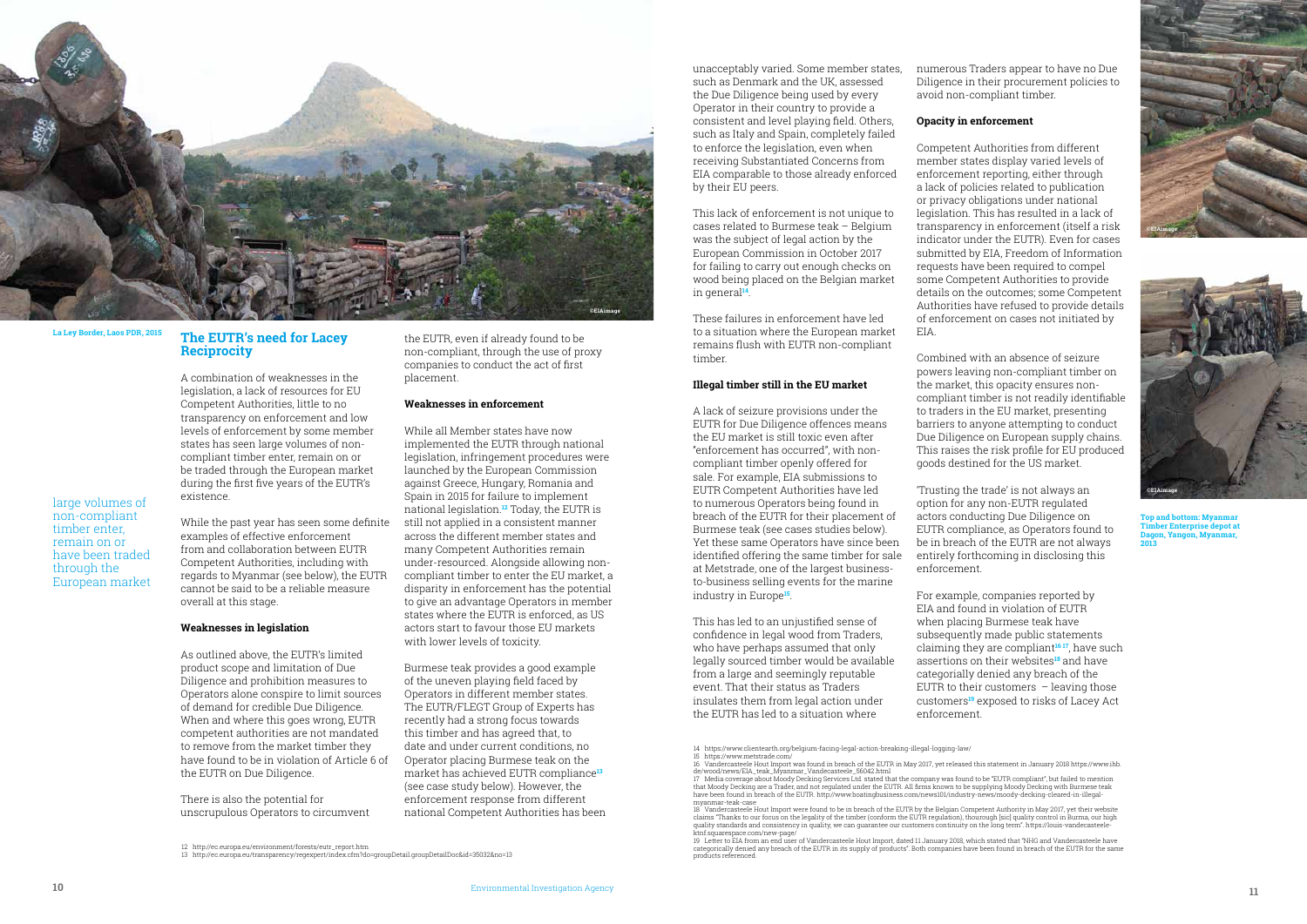#### **The EUTR's need for Lacey Reciprocity**

A combination of weaknesses in the legislation, a lack of resources for EU Competent Authorities, little to no transparency on enforcement and low levels of enforcement by some member states has seen large volumes of noncompliant timber enter, remain on or be traded through the European market during the first five years of the EUTR's existence.

While the past year has seen some definite examples of effective enforcement from and collaboration between EUTR Competent Authorities, including with regards to Myanmar (see below), the EUTR cannot be said to be a reliable measure overall at this stage.

#### **Weaknesses in legislation**

As outlined above, the EUTR's limited product scope and limitation of Due Diligence and prohibition measures to Operators alone conspire to limit sources of demand for credible Due Diligence. When and where this goes wrong, EUTR competent authorities are not mandated to remove from the market timber they have found to be in violation of Article 6 of the EUTR on Due Diligence.

There is also the potential for unscrupulous Operators to circumvent

the EUTR, even if already found to be non-compliant, through the use of proxy companies to conduct the act of first placement.

#### **Weaknesses in enforcement**

While all Member states have now implemented the EUTR through national legislation, infringement procedures were launched by the European Commission against Greece, Hungary, Romania and Spain in 2015 for failure to implement national legislation.**12** Today, the EUTR is still not applied in a consistent manner across the different member states and many Competent Authorities remain under-resourced. Alongside allowing noncompliant timber to enter the EU market, a disparity in enforcement has the potential to give an advantage Operators in member states where the EUTR is enforced, as US actors start to favour those EU markets with lower levels of toxicity.

Burmese teak provides a good example of the uneven playing field faced by Operators in different member states. The EUTR/FLEGT Group of Experts has recently had a strong focus towards this timber and has agreed that, to date and under current conditions, no Operator placing Burmese teak on the market has achieved EUTR compliance**<sup>13</sup>** (see case study below). However, the enforcement response from different national Competent Authorities has been

unacceptably varied. Some member states, such as Denmark and the UK, assessed the Due Diligence being used by every Operator in their country to provide a consistent and level playing field. Others, such as Italy and Spain, completely failed to enforce the legislation, even when receiving Substantiated Concerns from EIA comparable to those already enforced by their EU peers.

This lack of enforcement is not unique to cases related to Burmese teak – Belgium was the subject of legal action by the European Commission in October 2017 for failing to carry out enough checks on wood being placed on the Belgian market in general**14**.

These failures in enforcement have led to a situation where the European market remains flush with EUTR non-compliant timber.

de/wood/news/EIA\_teak\_Myanmar\_Vandecasteele\_56042.html 17 Media coverage about Moody Decking Services Ltd. stated that the company was found to be "EUTR compliant", but failed to mention that Moody Decking are a Trader, and not regulated under the EUTR. All firms known to be supplying Moody Decking with Burmese teak<br>have been found in breach of the EUTR. http://www.boatingbusiness.com/news101/industry-news

#### **Illegal timber still in the EU market**

18 Vandercasteele Hout Import were found to be in breach of the EUTR by the Belgian Competent Authority in May 2017, yet their website claims "Thanks to our focus on the legality of the timber (conform the EUTR regulation), thourough [sic] quality control in Burma, our high<br>quality standards and consistency in quality, we can guarantee our customers conti

A lack of seizure provisions under the EUTR for Due Diligence offences means the EU market is still toxic even after "enforcement has occurred", with noncompliant timber openly offered for sale. For example, EIA submissions to EUTR Competent Authorities have led to numerous Operators being found in breach of the EUTR for their placement of Burmese teak (see cases studies below). Yet these same Operators have since been identified offering the same timber for sale at Metstrade, one of the largest businessto-business selling events for the marine industry in Europe**15**.

ktnf.squarespace.com/new-page/<br>19 Letter to EIA from an end user of Vandercasteele Hout Import, dated 11 January 2018, which stated that "NHG and Vandercasteele have categorically denied any breach of the EUTR in its supply of products". Both companies have been found in breach of the EUTR for the same

This has led to an unjustified sense of confidence in legal wood from Traders, who have perhaps assumed that only legally sourced timber would be available from a large and seemingly reputable event. That their status as Traders insulates them from legal action under the EUTR has led to a situation where

numerous Traders appear to have no Due Diligence in their procurement policies to avoid non-compliant timber.

#### **Opacity in enforcement**

Competent Authorities from different member states display varied levels of enforcement reporting, either through a lack of policies related to publication or privacy obligations under national legislation. This has resulted in a lack of transparency in enforcement (itself a risk indicator under the EUTR). Even for cases submitted by EIA, Freedom of Information requests have been required to compel some Competent Authorities to provide details on the outcomes; some Competent Authorities have refused to provide details of enforcement on cases not initiated by EIA.

> Combined with an absence of seizure powers leaving non-compliant timber on the market, this opacity ensures noncompliant timber is not readily identifiable to traders in the EU market, presenting barriers to anyone attempting to conduct Due Diligence on European supply chains. This raises the risk profile for EU produced goods destined for the US market.

'Trusting the trade' is not always an option for any non-EUTR regulated actors conducting Due Diligence on EUTR compliance, as Operators found to be in breach of the EUTR are not always entirely forthcoming in disclosing this enforcement.

For example, companies reported by EIA and found in violation of EUTR when placing Burmese teak have subsequently made public statements claiming they are compliant**16 17**, have such assertions on their websites**18** and have categorially denied any breach of the EUTR to their customers  $-$  leaving those customers**19** exposed to risks of Lacey Act enforcement.

**La Ley Border, Laos PDR, 2015**

**Top and bottom: Myanmar Timber Enterprise depot at Dagon, Yangon, Myanmar, 2013**

14 https://www.clientearth.org/belgium-facing-legal-action-breaking-illegal-logging-law/

15 https://www.metstrade.com/

16 Vandercasteele Hout Import was found in breach of the EUTR in May 2017, yet released this statement in January 2018 https://www.ihb.

myanmar-teak-case

products referenced.

large volumes of non-compliant timber enter, remain on or have been traded through the European market







<sup>12</sup> http://ec.europa.eu/environment/forests/eutr\_report.htm

<sup>13</sup> http://ec.europa.eu/transparency/regexpert/index.cfm?do=groupDetail.groupDetailDoc&id=35032&no=13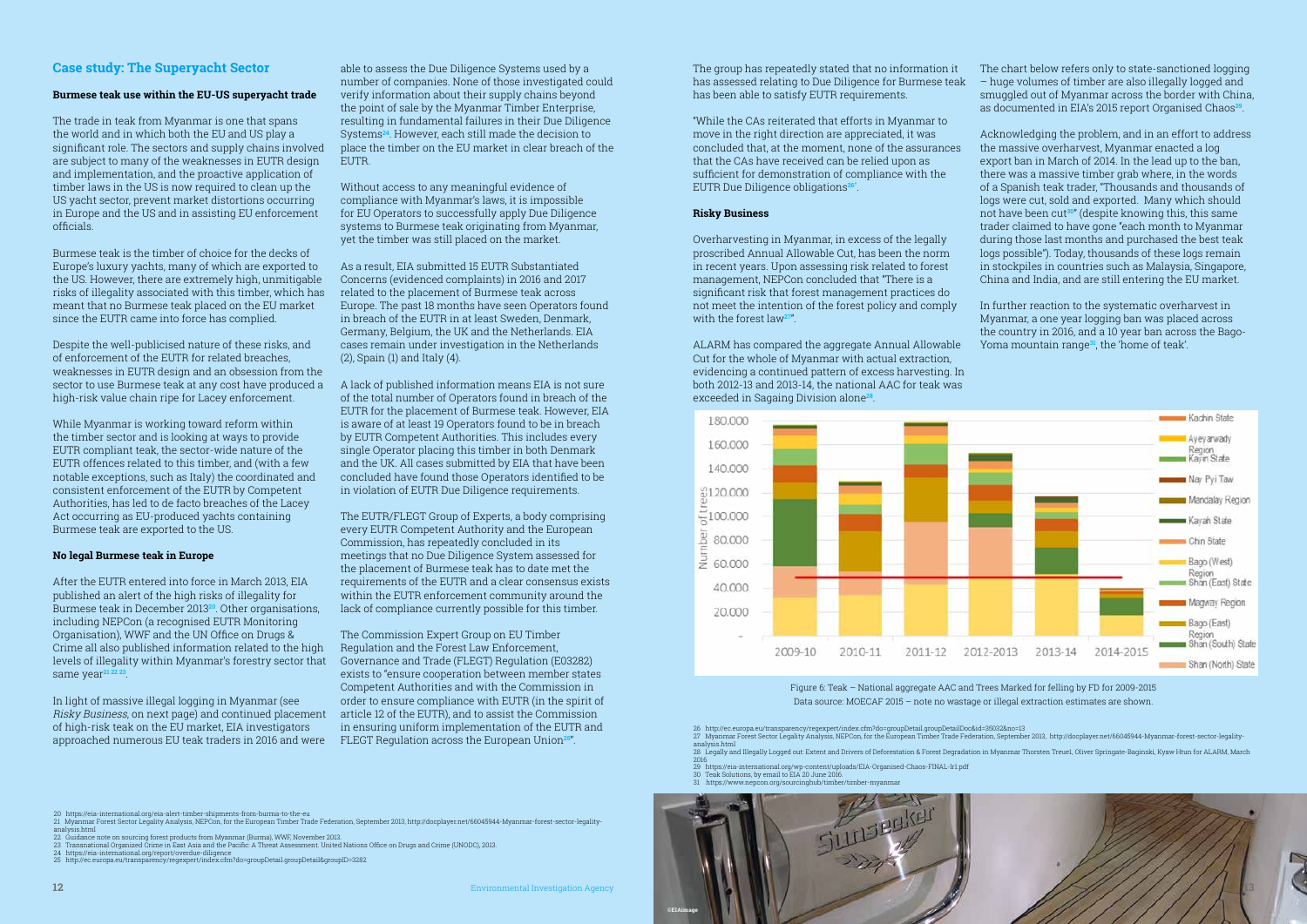The group has repeatedly stated that no information it has assessed relating to Due Diligence for Burmese teak has been able to satisfy EUTR requirements.

"While the CAs reiterated that efforts in Myanmar to move in the right direction are appreciated, it was concluded that, at the moment, none of the assurances that the CAs have received can be relied upon as sufficient for demonstration of compliance with the EUTR Due Diligence obligations**26"**.

#### **Risky Business**

Overharvesting in Myanmar, in excess of the legally proscribed Annual Allowable Cut, has been the norm in recent years. Upon assessing risk related to forest management, NEPCon concluded that "There is a significant risk that forest management practices do not meet the intention of the forest policy and comply with the forest law**27**".

ALARM has compared the aggregate Annual Allowable Cut for the whole of Myanmar with actual extraction, evidencing a continued pattern of excess harvesting. In both 2012-13 and 2013-14, the national AAC for teak was exceeded in Sagaing Division alone**28**.



The chart below refers only to state-sanctioned logging – huge volumes of timber are also illegally logged and smuggled out of Myanmar across the border with China, as documented in EIA's 2015 report Organised Chaos**29**.

Acknowledging the problem, and in an effort to address the massive overharvest, Myanmar enacted a log export ban in March of 2014. In the lead up to the ban, there was a massive timber grab where, in the words of a Spanish teak trader, "Thousands and thousands of logs were cut, sold and exported. Many which should not have been cut**30**" (despite knowing this, this same trader claimed to have gone "each month to Myanmar during those last months and purchased the best teak logs possible"). Today, thousands of these logs remain in stockpiles in countries such as Malaysia, Singapore, China and India, and are still entering the EU market.

In further reaction to the systematic overharvest in Myanmar, a one year logging ban was placed across the country in 2016, and a 10 year ban across the Bago-Yoma mountain range**31**, the 'home of teak'.

#### **Case study: The Superyacht Sector**

able to assess the Due Diligence Systems used by a number of companies. None of those investigated could verify information about their supply chains beyond the point of sale by the Myanmar Timber Enterprise, resulting in fundamental failures in their Due Diligence Systems**24**. However, each still made the decision to place the timber on the EU market in clear breach of the **EUTR** 

#### **Burmese teak use within the EU-US superyacht trade**

The trade in teak from Myanmar is one that spans the world and in which both the EU and US play a significant role. The sectors and supply chains involved are subject to many of the weaknesses in EUTR design and implementation, and the proactive application of timber laws in the US is now required to clean up the US yacht sector, prevent market distortions occurring in Europe and the US and in assisting EU enforcement officials.

Burmese teak is the timber of choice for the decks of Europe's luxury yachts, many of which are exported to the US. However, there are extremely high, unmitigable risks of illegality associated with this timber, which has meant that no Burmese teak placed on the EU market since the EUTR came into force has complied.

Despite the well-publicised nature of these risks, and of enforcement of the EUTR for related breaches, weaknesses in EUTR design and an obsession from the sector to use Burmese teak at any cost have produced a A lack of published information means EIA is not sure high-risk value chain ripe for Lacey enforcement.

While Myanmar is working toward reform within the timber sector and is looking at ways to provide EUTR compliant teak, the sector-wide nature of the EUTR offences related to this timber, and (with a few notable exceptions, such as Italy) the coordinated and consistent enforcement of the EUTR by Competent Authorities, has led to de facto breaches of the Lacey Act occurring as EU-produced yachts containing Burmese teak are exported to the US.

#### **No legal Burmese teak in Europe**

After the EUTR entered into force in March 2013, EIA published an alert of the high risks of illegality for Burmese teak in December 2013**20**. Other organisations, including NEPCon (a recognised EUTR Monitoring Organisation), WWF and the UN Office on Drugs & Crime all also published information related to the high levels of illegality within Myanmar's forestry sector that Governance and Trade (FLEGT) Regulation (E03282) same year**21 22 23**.

> 26 http://ec.europa.eu/transparency/regexpert/index.cfm?do=groupDetail.groupDetailDoc&id=35032&no=13<br>27 Myanmar Forest Sector Legality Analysis, NEPCon, for the European Timber Trade Federation, September 2013, http://doc analysis.html 28 Legally and Illegally Logged out: Extent and Drivers of Deforestation & Forest Degradation in Myanmar Thorsten Treue1, Oliver Springate-Baginski, Kyaw Htun for ALARM, March

- 
- 2016 29 https://eia-international.org/wp-content/uploads/EIA-Organised-Chaos-FINAL-lr1.pdf 30 Teak Solutions, by email to EIA 20 June 2016.
- 
- $31$  https://www.nepcon.org/sourcinghub

In light of massive illegal logging in Myanmar (see Risky Business, on next page) and continued placement of high-risk teak on the EU market, EIA investigators approached numerous EU teak traders in 2016 and were

Without access to any meaningful evidence of compliance with Myanmar's laws, it is impossible for EU Operators to successfully apply Due Diligence systems to Burmese teak originating from Myanmar, yet the timber was still placed on the market.

As a result, EIA submitted 15 EUTR Substantiated Concerns (evidenced complaints) in 2016 and 2017 related to the placement of Burmese teak across Europe. The past 18 months have seen Operators found in breach of the EUTR in at least Sweden, Denmark, Germany, Belgium, the UK and the Netherlands. EIA cases remain under investigation in the Netherlands (2), Spain (1) and Italy (4).

of the total number of Operators found in breach of the EUTR for the placement of Burmese teak. However, EIA is aware of at least 19 Operators found to be in breach by EUTR Competent Authorities. This includes every single Operator placing this timber in both Denmark and the UK. All cases submitted by EIA that have been concluded have found those Operators identified to be in violation of EUTR Due Diligence requirements.

The EUTR/FLEGT Group of Experts, a body comprising every EUTR Competent Authority and the European Commission, has repeatedly concluded in its meetings that no Due Diligence System assessed for the placement of Burmese teak has to date met the requirements of the EUTR and a clear consensus exists within the EUTR enforcement community around the lack of compliance currently possible for this timber.

The Commission Expert Group on EU Timber Regulation and the Forest Law Enforcement, exists to "ensure cooperation between member states Competent Authorities and with the Commission in order to ensure compliance with EUTR (in the spirit of article 12 of the EUTR), and to assist the Commission in ensuring uniform implementation of the EUTR and FLEGT Regulation across the European Union**25**".

Figure 6: Teak – National aggregate AAC and Trees Marked for felling by FD for 2009-2015 Data source: MOECAF 2015 – note no wastage or illegal extraction estimates are shown.



- 
- analysis.html<br>22 Guidance note on sourcing forest products from Myanmar (Burma), WWF, November 2013.<br>23 Transnational Organized Crime in East Asia and the Pacific: A Threat Assessment. United Nations Office on Drugs an
- 
- 



<sup>20</sup> https://eia-international.org/eia-alert-timber-shipments-from-burma-to-the-eu<br>21 Myanmar Forest Sector Legality Analysis, NEPCon, for the European Timber Trade Federation, September 2013, http://docplayer.net/66045944-M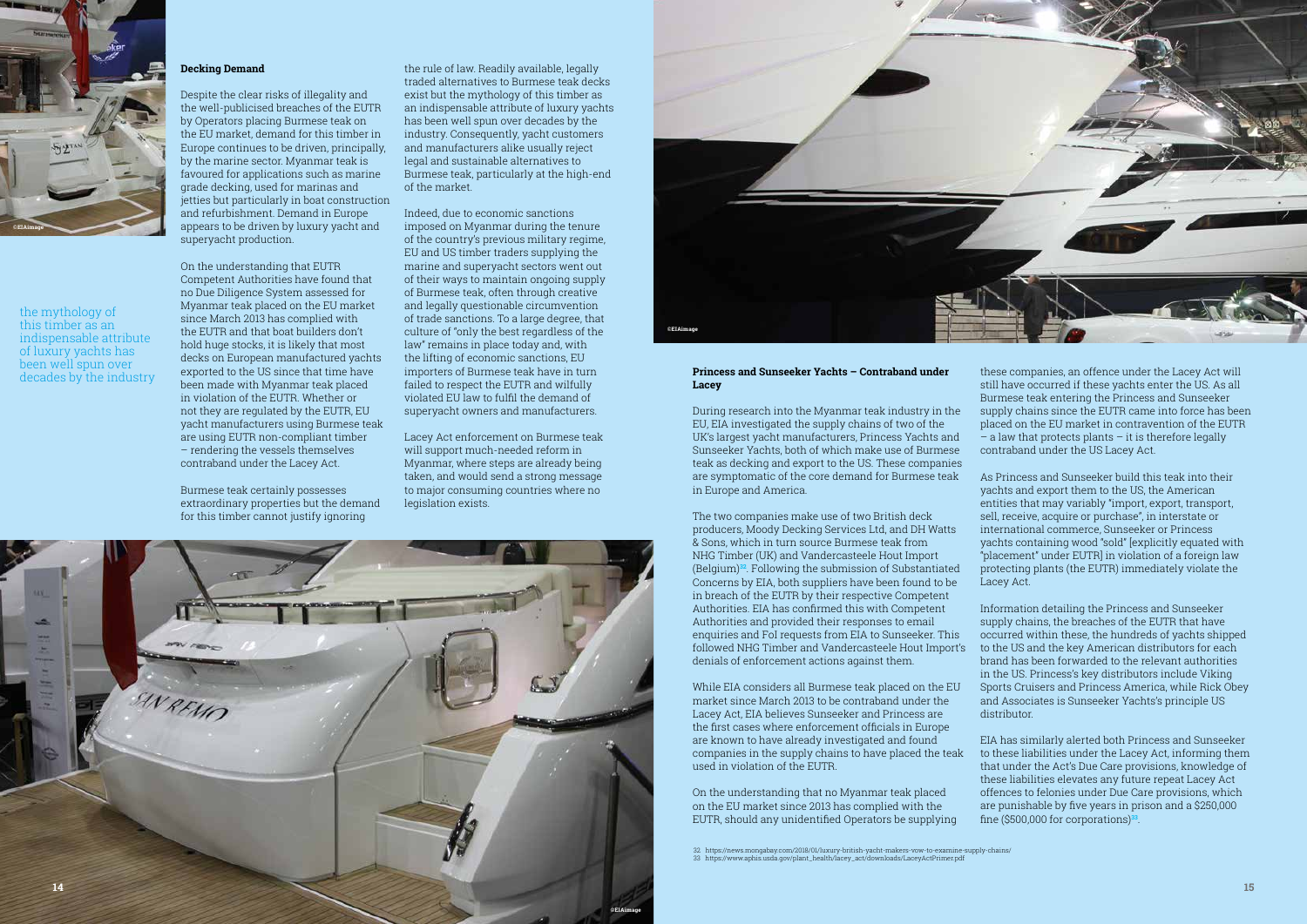#### **Decking Demand**

Despite the clear risks of illegality and the well-publicised breaches of the EUTR by Operators placing Burmese teak on the EU market, demand for this timber in Europe continues to be driven, principally, by the marine sector. Myanmar teak is favoured for applications such as marine grade decking, used for marinas and jetties but particularly in boat construction and refurbishment. Demand in Europe appears to be driven by luxury yacht and superyacht production.

On the understanding that EUTR Competent Authorities have found that no Due Diligence System assessed for Myanmar teak placed on the EU market since March 2013 has complied with the EUTR and that boat builders don't hold huge stocks, it is likely that most decks on European manufactured yachts exported to the US since that time have been made with Myanmar teak placed in violation of the EUTR. Whether or not they are regulated by the EUTR, EU yacht manufacturers using Burmese teak are using EUTR non-compliant timber – rendering the vessels themselves contraband under the Lacey Act.

Lacey Act enforcement on Burmese teak will support much-needed reform in Myanmar, where steps are already being taken, and would send a strong message to major consuming countries where no legislation exists.

Burmese teak certainly possesses extraordinary properties but the demand for this timber cannot justify ignoring

the rule of law. Readily available, legally traded alternatives to Burmese teak decks exist but the mythology of this timber as an indispensable attribute of luxury yachts has been well spun over decades by the industry. Consequently, yacht customers and manufacturers alike usually reject legal and sustainable alternatives to Burmese teak, particularly at the high-end of the market.

Indeed, due to economic sanctions imposed on Myanmar during the tenure of the country's previous military regime, EU and US timber traders supplying the marine and superyacht sectors went out of their ways to maintain ongoing supply of Burmese teak, often through creative and legally questionable circumvention of trade sanctions. To a large degree, that culture of "only the best regardless of the law" remains in place today and, with the lifting of economic sanctions, EU importers of Burmese teak have in turn failed to respect the EUTR and wilfully violated EU law to fulfil the demand of superyacht owners and manufacturers.

#### **Princess and Sunseeker Yachts – Contraband under Lacey**

During research into the Myanmar teak industry in the EU, EIA investigated the supply chains of two of the UK's largest yacht manufacturers, Princess Yachts and Sunseeker Yachts, both of which make use of Burmese teak as decking and export to the US. These companies are symptomatic of the core demand for Burmese teak in Europe and America.

The two companies make use of two British deck producers, Moody Decking Services Ltd, and DH Watts & Sons, which in turn source Burmese teak from NHG Timber (UK) and Vandercasteele Hout Import (Belgium)**32**. Following the submission of Substantiated Concerns by EIA, both suppliers have been found to be in breach of the EUTR by their respective Competent Authorities. EIA has confirmed this with Competent Authorities and provided their responses to email enquiries and FoI requests from EIA to Sunseeker. This followed NHG Timber and Vandercasteele Hout Import's denials of enforcement actions against them.

While EIA considers all Burmese teak placed on the EU market since March 2013 to be contraband under the Lacey Act, EIA believes Sunseeker and Princess are the first cases where enforcement officials in Europe are known to have already investigated and found companies in the supply chains to have placed the teak used in violation of the EUTR.

On the understanding that no Myanmar teak placed on the EU market since 2013 has complied with the EUTR, should any unidentified Operators be supplying these companies, an offence under the Lacey Act will still have occurred if these yachts enter the US. As all Burmese teak entering the Princess and Sunseeker supply chains since the EUTR came into force has been placed on the EU market in contravention of the EUTR  $-$  a law that protects plants  $-$  it is therefore legally contraband under the US Lacey Act.

As Princess and Sunseeker build this teak into their yachts and export them to the US, the American entities that may variably "import, export, transport, sell, receive, acquire or purchase", in interstate or international commerce, Sunseeker or Princess yachts containing wood "sold" [explicitly equated with "placement" under EUTR] in violation of a foreign law protecting plants (the EUTR) immediately violate the Lacey Act.

Information detailing the Princess and Sunseeker supply chains, the breaches of the EUTR that have occurred within these, the hundreds of yachts shipped to the US and the key American distributors for each brand has been forwarded to the relevant authorities in the US. Princess's key distributors include Viking Sports Cruisers and Princess America, while Rick Obey and Associates is Sunseeker Yachts's principle US distributor.

EIA has similarly alerted both Princess and Sunseeker to these liabilities under the Lacey Act, informing them that under the Act's Due Care provisions, knowledge of these liabilities elevates any future repeat Lacey Act offences to felonies under Due Care provisions, which are punishable by five years in prison and a \$250,000 fine (\$500,000 for corporations)**33**.





32 https://news.mongabay.com/2018/01/luxury-british-yacht-makers-vow-to-examine-supply-chains/ 33 https://www.aphis.usda.gov/plant\_health/lacey\_act/downloads/LaceyActPrimer.pdf



the mythology of this timber as an indispensable attribute of luxury yachts has been well spun over decades by the industry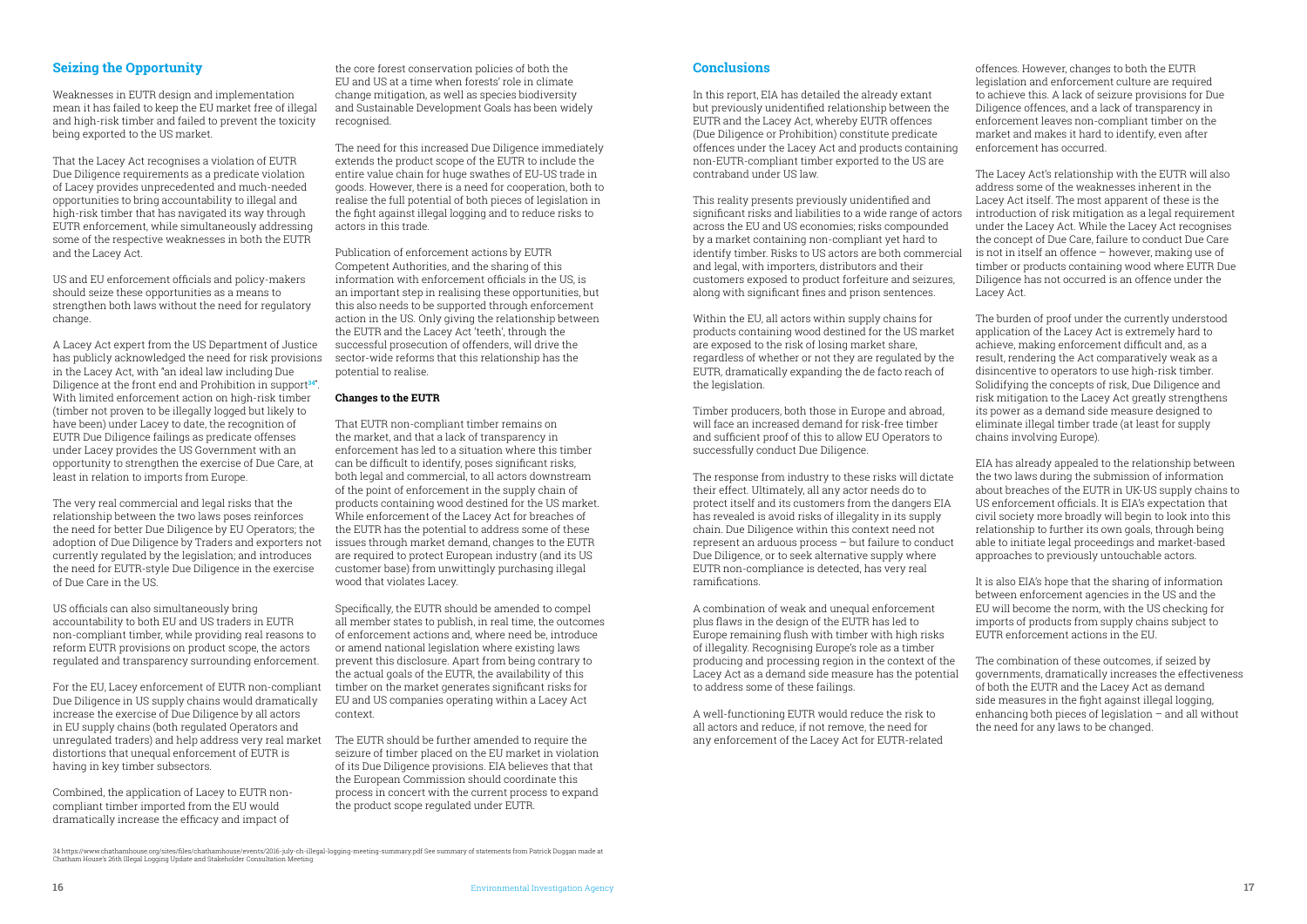#### **Seizing the Opportunity**

Weaknesses in EUTR design and implementation mean it has failed to keep the EU market free of illegal and high-risk timber and failed to prevent the toxicity being exported to the US market.

That the Lacey Act recognises a violation of EUTR Due Diligence requirements as a predicate violation of Lacey provides unprecedented and much-needed opportunities to bring accountability to illegal and high-risk timber that has navigated its way through EUTR enforcement, while simultaneously addressing some of the respective weaknesses in both the EUTR and the Lacey Act.

US and EU enforcement officials and policy-makers should seize these opportunities as a means to strengthen both laws without the need for regulatory change.

A Lacey Act expert from the US Department of Justice has publicly acknowledged the need for risk provisions in the Lacey Act, with "an ideal law including Due Diligence at the front end and Prohibition in support**34"** . With limited enforcement action on high-risk timber (timber not proven to be illegally logged but likely to have been) under Lacey to date, the recognition of EUTR Due Diligence failings as predicate offenses under Lacey provides the US Government with an opportunity to strengthen the exercise of Due Care, at least in relation to imports from Europe.

The very real commercial and legal risks that the relationship between the two laws poses reinforces the need for better Due Diligence by EU Operators; the adoption of Due Diligence by Traders and exporters not currently regulated by the legislation; and introduces the need for EUTR-style Due Diligence in the exercise of Due Care in the US.

US officials can also simultaneously bring accountability to both EU and US traders in EUTR non-compliant timber, while providing real reasons to reform EUTR provisions on product scope, the actors regulated and transparency surrounding enforcement.

For the EU, Lacey enforcement of EUTR non-compliant Due Diligence in US supply chains would dramatically increase the exercise of Due Diligence by all actors in EU supply chains (both regulated Operators and unregulated traders) and help address very real market The EUTR should be further amended to require the distortions that unequal enforcement of EUTR is having in key timber subsectors.

Combined, the application of Lacey to EUTR noncompliant timber imported from the EU would dramatically increase the efficacy and impact of

the core forest conservation policies of both the EU and US at a time when forests' role in climate change mitigation, as well as species biodiversity and Sustainable Development Goals has been widely recognised.

The need for this increased Due Diligence immediately extends the product scope of the EUTR to include the entire value chain for huge swathes of EU-US trade in goods. However, there is a need for cooperation, both to realise the full potential of both pieces of legislation in the fight against illegal logging and to reduce risks to actors in this trade.

> Within the EU, all actors within supply chains for products containing wood destined for the US market are exposed to the risk of losing market share, regardless of whether or not they are regulated by the EUTR, dramatically expanding the de facto reach of the legislation.

Publication of enforcement actions by EUTR Competent Authorities, and the sharing of this information with enforcement officials in the US, is an important step in realising these opportunities, but this also needs to be supported through enforcement action in the US. Only giving the relationship between the EUTR and the Lacey Act 'teeth', through the successful prosecution of offenders, will drive the sector-wide reforms that this relationship has the potential to realise.

#### **Changes to the EUTR**

That EUTR non-compliant timber remains on the market, and that a lack of transparency in enforcement has led to a situation where this timber can be difficult to identify, poses significant risks, both legal and commercial, to all actors downstream of the point of enforcement in the supply chain of products containing wood destined for the US market. While enforcement of the Lacey Act for breaches of the EUTR has the potential to address some of these issues through market demand, changes to the EUTR are required to protect European industry (and its US customer base) from unwittingly purchasing illegal wood that violates Lacey.

Specifically, the EUTR should be amended to compel all member states to publish, in real time, the outcomes of enforcement actions and, where need be, introduce or amend national legislation where existing laws prevent this disclosure. Apart from being contrary to the actual goals of the EUTR, the availability of this timber on the market generates significant risks for EU and US companies operating within a Lacey Act context.

seizure of timber placed on the EU market in violation of its Due Diligence provisions. EIA believes that that the European Commission should coordinate this process in concert with the current process to expand the product scope regulated under EUTR.

#### **Conclusions**

In this report, EIA has detailed the already extant but previously unidentified relationship between the EUTR and the Lacey Act, whereby EUTR offences (Due Diligence or Prohibition) constitute predicate offences under the Lacey Act and products containing non-EUTR-compliant timber exported to the US are contraband under US law.

This reality presents previously unidentified and significant risks and liabilities to a wide range of actors across the EU and US economies; risks compounded by a market containing non-compliant yet hard to identify timber. Risks to US actors are both commercial and legal, with importers, distributors and their customers exposed to product forfeiture and seizures, along with significant fines and prison sentences.

Timber producers, both those in Europe and abroad, will face an increased demand for risk-free timber and sufficient proof of this to allow EU Operators to successfully conduct Due Diligence.

The response from industry to these risks will dictate their effect. Ultimately, all any actor needs do to protect itself and its customers from the dangers EIA has revealed is avoid risks of illegality in its supply chain. Due Diligence within this context need not represent an arduous process – but failure to conduct Due Diligence, or to seek alternative supply where EUTR non-compliance is detected, has very real ramifications.

A combination of weak and unequal enforcement plus flaws in the design of the EUTR has led to Europe remaining flush with timber with high risks of illegality. Recognising Europe's role as a timber producing and processing region in the context of the Lacey Act as a demand side measure has the potential to address some of these failings.

A well-functioning EUTR would reduce the risk to all actors and reduce, if not remove, the need for any enforcement of the Lacey Act for EUTR-related

offences. However, changes to both the EUTR legislation and enforcement culture are required to achieve this. A lack of seizure provisions for Due Diligence offences, and a lack of transparency in enforcement leaves non-compliant timber on the market and makes it hard to identify, even after enforcement has occurred.

The Lacey Act's relationship with the EUTR will also address some of the weaknesses inherent in the Lacey Act itself. The most apparent of these is the introduction of risk mitigation as a legal requirement under the Lacey Act. While the Lacey Act recognises the concept of Due Care, failure to conduct Due Care is not in itself an offence – however, making use of timber or products containing wood where EUTR Due Diligence has not occurred is an offence under the Lacey Act.

The burden of proof under the currently understood application of the Lacey Act is extremely hard to achieve, making enforcement difficult and, as a result, rendering the Act comparatively weak as a disincentive to operators to use high-risk timber. Solidifying the concepts of risk, Due Diligence and risk mitigation to the Lacey Act greatly strengthens its power as a demand side measure designed to eliminate illegal timber trade (at least for supply chains involving Europe).

EIA has already appealed to the relationship between the two laws during the submission of information about breaches of the EUTR in UK-US supply chains to US enforcement officials. It is EIA's expectation that civil society more broadly will begin to look into this relationship to further its own goals, through being able to initiate legal proceedings and market-based approaches to previously untouchable actors.

It is also EIA's hope that the sharing of information between enforcement agencies in the US and the EU will become the norm, with the US checking for imports of products from supply chains subject to EUTR enforcement actions in the EU.

The combination of these outcomes, if seized by governments, dramatically increases the effectiveness of both the EUTR and the Lacey Act as demand side measures in the fight against illegal logging, enhancing both pieces of legislation – and all without the need for any laws to be changed.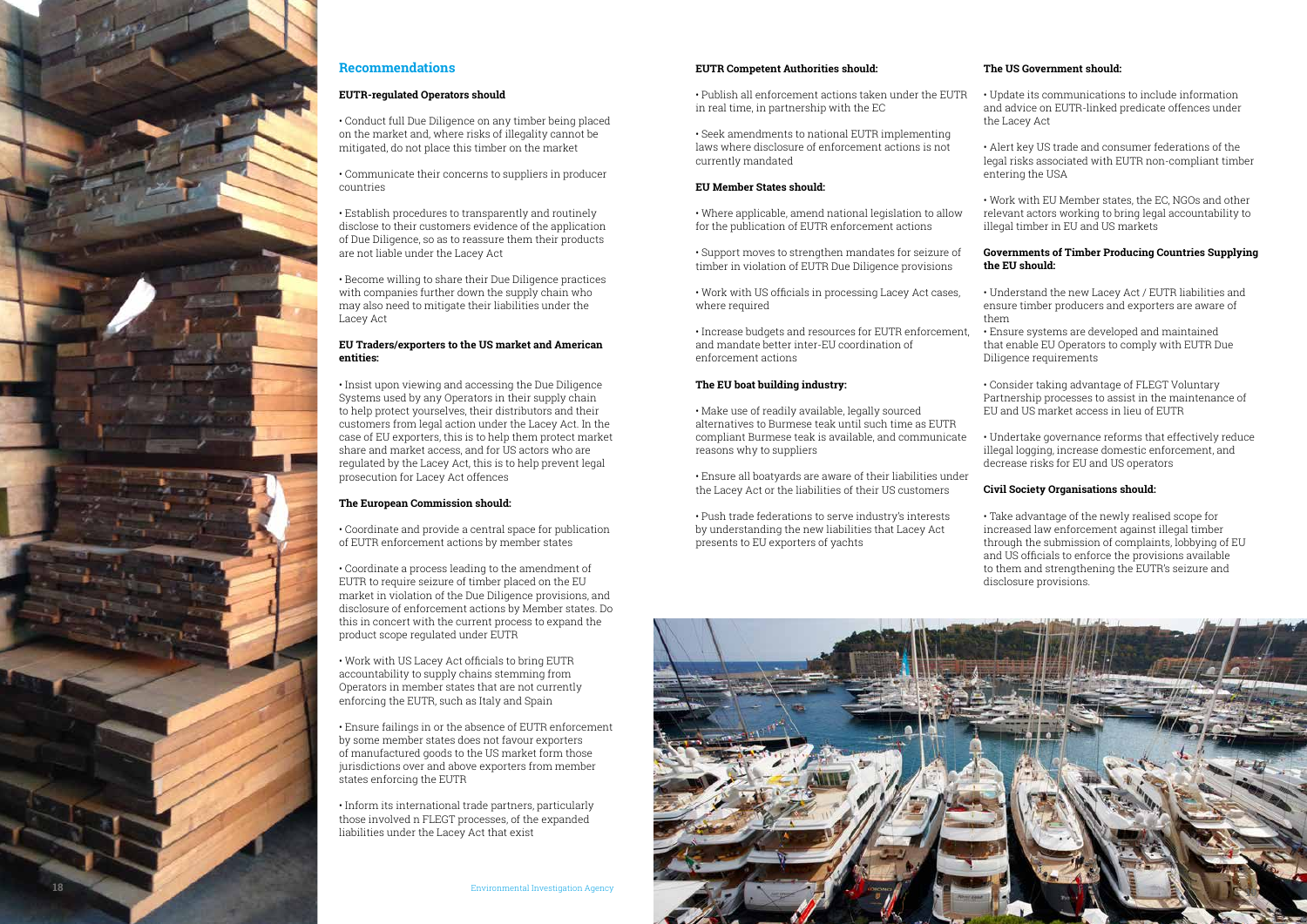

#### **Recommendations**

#### **EUTR-regulated Operators should**

• Conduct full Due Diligence on any timber being placed on the market and, where risks of illegality cannot be mitigated, do not place this timber on the market

• Communicate their concerns to suppliers in producer countries

• Establish procedures to transparently and routinely disclose to their customers evidence of the application of Due Diligence, so as to reassure them their products are not liable under the Lacey Act

• Become willing to share their Due Diligence practices with companies further down the supply chain who may also need to mitigate their liabilities under the Lacey Act

#### **EU Traders/exporters to the US market and American entities:**

• Insist upon viewing and accessing the Due Diligence Systems used by any Operators in their supply chain to help protect yourselves, their distributors and their customers from legal action under the Lacey Act. In the case of EU exporters, this is to help them protect market share and market access, and for US actors who are regulated by the Lacey Act, this is to help prevent legal prosecution for Lacey Act offences

#### **The European Commission should:**

• Coordinate and provide a central space for publication of EUTR enforcement actions by member states

• Work with US officials in processing Lacey Act cases, where required

• Coordinate a process leading to the amendment of EUTR to require seizure of timber placed on the EU market in violation of the Due Diligence provisions, and disclosure of enforcement actions by Member states. Do this in concert with the current process to expand the product scope regulated under EUTR

• Work with US Lacey Act officials to bring EUTR accountability to supply chains stemming from Operators in member states that are not currently enforcing the EUTR, such as Italy and Spain

• Ensure failings in or the absence of EUTR enforcement by some member states does not favour exporters of manufactured goods to the US market form those jurisdictions over and above exporters from member states enforcing the EUTR

• Inform its international trade partners, particularly those involved n FLEGT processes, of the expanded liabilities under the Lacey Act that exist

#### **EUTR Competent Authorities should:**

• Seek amendments to national EUTR implementing laws where disclosure of enforcement actions is not currently mandated

#### **EU Member States should:**

• Where applicable, amend national legislation to allow for the publication of EUTR enforcement actions

• Support moves to strengthen mandates for seizure of timber in violation of EUTR Due Diligence provisions

• Increase budgets and resources for EUTR enforcement, and mandate better inter-EU coordination of enforcement actions

• Publish all enforcement actions taken under the EUTR in real time, in partnership with the EC • Update its communications to include information and advice on EUTR-linked predicate offences under the Lacey Act

#### **The EU boat building industry:**

• Make use of readily available, legally sourced alternatives to Burmese teak until such time as EUTR compliant Burmese teak is available, and communicate reasons why to suppliers

• Ensure all boatyards are aware of their liabilities under the Lacey Act or the liabilities of their US customers

• Push trade federations to serve industry's interests by understanding the new liabilities that Lacey Act presents to EU exporters of yachts

#### **The US Government should:**

• Alert key US trade and consumer federations of the legal risks associated with EUTR non-compliant timber entering the USA

• Work with EU Member states, the EC, NGOs and other relevant actors working to bring legal accountability to illegal timber in EU and US markets

#### **Governments of Timber Producing Countries Supplying the EU should:**

• Understand the new Lacey Act / EUTR liabilities and ensure timber producers and exporters are aware of them

• Ensure systems are developed and maintained that enable EU Operators to comply with EUTR Due Diligence requirements

• Consider taking advantage of FLEGT Voluntary Partnership processes to assist in the maintenance of EU and US market access in lieu of EUTR

• Undertake governance reforms that effectively reduce illegal logging, increase domestic enforcement, and decrease risks for EU and US operators

#### **Civil Society Organisations should:**

• Take advantage of the newly realised scope for increased law enforcement against illegal timber through the submission of complaints, lobbying of EU and US officials to enforce the provisions available to them and strengthening the EUTR's seizure and disclosure provisions.